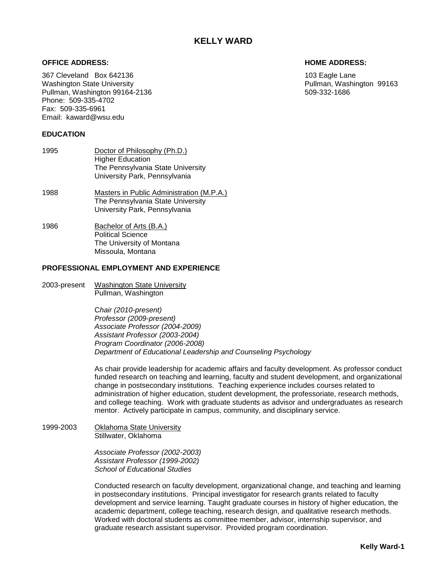## **OFFICE ADDRESS: HOME ADDRESS:**

367 Cleveland Box 642136 103 Eagle Lane Washington State University<br>
Pullman, Washington 99164-2136<br>
Pullman, Washington 99164-2136 Pullman, Washington 99164-2136 Phone: 509-335-4702 Fax: 509-335-6961 Email: kaward@wsu.edu

## **EDUCATION**

- 1995 Doctor of Philosophy (Ph.D.) Higher Education The Pennsylvania State University University Park, Pennsylvania
- 1988 Masters in Public Administration (M.P.A.) The Pennsylvania State University University Park, Pennsylvania
- 1986 Bachelor of Arts (B.A.) Political Science The University of Montana Missoula, Montana

## **PROFESSIONAL EMPLOYMENT AND EXPERIENCE**

2003-present Washington State University Pullman, Washington

> C*hair (2010-present) Professor (2009-present) Associate Professor (2004-2009) Assistant Professor (2003-2004) Program Coordinator (2006-2008) Department of Educational Leadership and Counseling Psychology*

As chair provide leadership for academic affairs and faculty development. As professor conduct funded research on teaching and learning, faculty and student development, and organizational change in postsecondary institutions. Teaching experience includes courses related to administration of higher education, student development, the professoriate, research methods, and college teaching. Work with graduate students as advisor and undergraduates as research mentor. Actively participate in campus, community, and disciplinary service.

1999-2003 Oklahoma State University Stillwater, Oklahoma

> *Associate Professor (2002-2003) Assistant Professor (1999-2002) School of Educational Studies*

Conducted research on faculty development, organizational change, and teaching and learning in postsecondary institutions. Principal investigator for research grants related to faculty development and service learning. Taught graduate courses in history of higher education, the academic department, college teaching, research design, and qualitative research methods. Worked with doctoral students as committee member, advisor, internship supervisor, and graduate research assistant supervisor. Provided program coordination.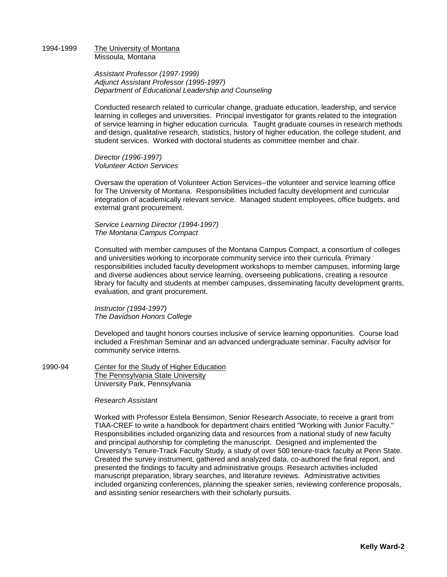#### 1994-1999 The University of Montana Missoula, Montana

*Assistant Professor (1997-1999) Adjunct Assistant Professor (1995-1997) Department of Educational Leadership and Counseling*

Conducted research related to curricular change, graduate education, leadership, and service learning in colleges and universities. Principal investigator for grants related to the integration of service learning in higher education curricula. Taught graduate courses in research methods and design, qualitative research, statistics, history of higher education, the college student, and student services. Worked with doctoral students as committee member and chair.

*Director (1996-1997) Volunteer Action Services*

Oversaw the operation of Volunteer Action Services--the volunteer and service learning office for The University of Montana. Responsibilities included faculty development and curricular integration of academically relevant service. Managed student employees, office budgets, and external grant procurement.

*Service Learning Director (1994-1997) The Montana Campus Compact*

Consulted with member campuses of the Montana Campus Compact, a consortium of colleges and universities working to incorporate community service into their curricula. Primary responsibilities included faculty development workshops to member campuses, informing large and diverse audiences about service learning, overseeing publications, creating a resource library for faculty and students at member campuses, disseminating faculty development grants, evaluation, and grant procurement.

*Instructor (1994-1997) The Davidson Honors College*

Developed and taught honors courses inclusive of service learning opportunities. Course load included a Freshman Seminar and an advanced undergraduate seminar. Faculty advisor for community service interns.

1990-94 Center for the Study of Higher Education The Pennsylvania State University University Park, Pennsylvania

#### *Research Assistant*

Worked with Professor Estela Bensimon, Senior Research Associate, to receive a grant from TIAA-CREF to write a handbook for department chairs entitled "Working with Junior Faculty." Responsibilities included organizing data and resources from a national study of new faculty and principal authorship for completing the manuscript. Designed and implemented the University's Tenure-Track Faculty Study, a study of over 500 tenure-track faculty at Penn State. Created the survey instrument, gathered and analyzed data, co-authored the final report, and presented the findings to faculty and administrative groups. Research activities included manuscript preparation, library searches, and literature reviews. Administrative activities included organizing conferences, planning the speaker series, reviewing conference proposals, and assisting senior researchers with their scholarly pursuits.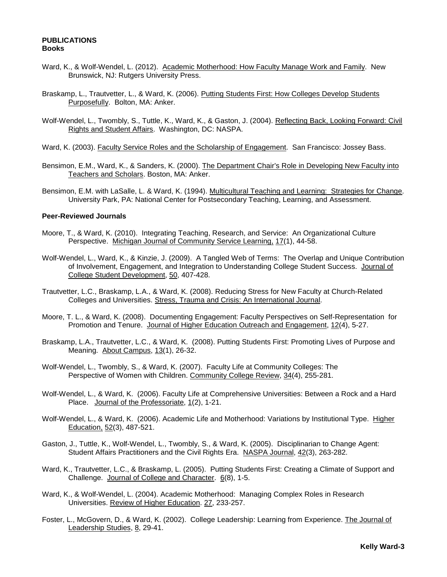## **PUBLICATIONS Books**

- Ward, K., & Wolf-Wendel, L. (2012). Academic Motherhood: How Faculty Manage Work and Family. New Brunswick, NJ: Rutgers University Press.
- Braskamp, L., Trautvetter, L., & Ward, K. (2006). Putting Students First: How Colleges Develop Students Purposefully. Bolton, MA: Anker.
- Wolf-Wendel, L., Twombly, S., Tuttle, K., Ward, K., & Gaston, J. (2004). Reflecting Back, Looking Forward: Civil Rights and Student Affairs. Washington, DC: NASPA.
- Ward, K. (2003). Faculty Service Roles and the Scholarship of Engagement. San Francisco: Jossey Bass.
- Bensimon, E.M., Ward, K., & Sanders, K. (2000). The Department Chair's Role in Developing New Faculty into Teachers and Scholars. Boston, MA: Anker.
- Bensimon, E.M. with LaSalle, L. & Ward, K. (1994). Multicultural Teaching and Learning: Strategies for Change. University Park, PA: National Center for Postsecondary Teaching, Learning, and Assessment.

# **Peer-Reviewed Journals**

- Moore, T., & Ward, K. (2010). Integrating Teaching, Research, and Service: An Organizational Culture Perspective. Michigan Journal of Community Service Learning, 17(1), 44-58.
- Wolf-Wendel, L., Ward, K., & Kinzie, J. (2009). A Tangled Web of Terms: The Overlap and Unique Contribution of Involvement, Engagement, and Integration to Understanding College Student Success. Journal of College Student Development, 50, 407-428.
- Trautvetter, L.C., Braskamp, L.A., & Ward, K. (2008). Reducing Stress for New Faculty at Church-Related Colleges and Universities. Stress, Trauma and Crisis: An International Journal.
- Moore, T. L., & Ward, K. (2008). Documenting Engagement: Faculty Perspectives on Self-Representation for Promotion and Tenure. Journal of Higher Education Outreach and Engagement, 12(4), 5-27.
- Braskamp, L.A., Trautvetter, L.C., & Ward, K. (2008). Putting Students First: Promoting Lives of Purpose and Meaning. About Campus, 13(1), 26-32.
- Wolf-Wendel, L., Twombly, S., & Ward, K. (2007). Faculty Life at Community Colleges: The Perspective of Women with Children. Community College Review, 34(4), 255-281.
- Wolf-Wendel, L., & Ward, K. (2006). Faculty Life at Comprehensive Universities: Between a Rock and a Hard Place. Journal of the Professoriate, 1(2), 1-21.
- Wolf-Wendel, L., & Ward, K. (2006). Academic Life and Motherhood: Variations by Institutional Type. Higher Education, 52(3), 487-521.
- Gaston, J., Tuttle, K., Wolf-Wendel, L., Twombly, S., & Ward, K. (2005). Disciplinarian to Change Agent: Student Affairs Practitioners and the Civil Rights Era. NASPA Journal, 42(3), 263-282.
- Ward, K., Trautvetter, L.C., & Braskamp, L. (2005). Putting Students First: Creating a Climate of Support and Challenge. Journal of College and Character. 6(8), 1-5.
- Ward, K., & Wolf-Wendel, L. (2004). Academic Motherhood: Managing Complex Roles in Research Universities. Review of Higher Education. 27, 233-257.
- Foster, L., McGovern, D., & Ward, K. (2002). College Leadership: Learning from Experience. The Journal of Leadership Studies, 8, 29-41.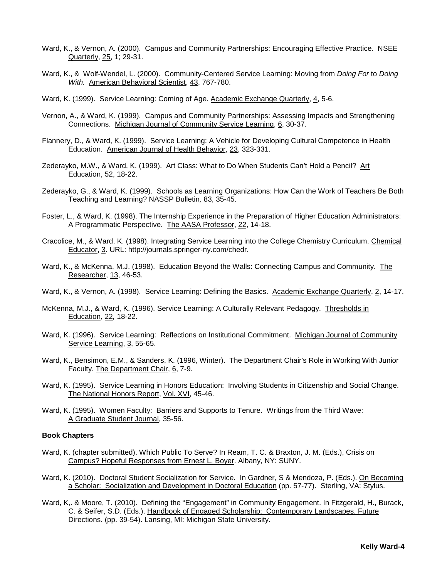- Ward, K., & Vernon, A. (2000). Campus and Community Partnerships: Encouraging Effective Practice. NSEE Quarterly, 25, 1; 29-31.
- Ward, K., & Wolf-Wendel, L. (2000). Community-Centered Service Learning: Moving from *Doing For* to *Doing With.* American Behavioral Scientist, 43, 767-780.
- Ward, K. (1999). Service Learning: Coming of Age. Academic Exchange Quarterly, 4, 5-6.
- Vernon, A., & Ward, K. (1999). Campus and Community Partnerships: Assessing Impacts and Strengthening Connections. Michigan Journal of Community Service Learning, 6, 30-37.
- Flannery, D., & Ward, K. (1999). Service Learning: A Vehicle for Developing Cultural Competence in Health Education. American Journal of Health Behavior, 23, 323-331.
- Zederayko, M.W., & Ward, K. (1999). Art Class: What to Do When Students Can't Hold a Pencil? Art Education, 52, 18-22.
- Zederayko, G., & Ward, K. (1999). Schools as Learning Organizations: How Can the Work of Teachers Be Both Teaching and Learning? NASSP Bulletin*,* 83, 35-45.
- Foster, L., & Ward, K. (1998). The Internship Experience in the Preparation of Higher Education Administrators: A Programmatic Perspective. The AASA Professor, 22, 14-18.
- Cracolice, M., & Ward, K. (1998). Integrating Service Learning into the College Chemistry Curriculum. Chemical Educator, 3. URL: http://journals.springer-ny.com/chedr.
- Ward, K., & McKenna, M.J. (1998). Education Beyond the Walls: Connecting Campus and Community. The Researcher, 13, 46-53.
- Ward, K., & Vernon, A. (1998). Service Learning: Defining the Basics. Academic Exchange Quarterly, 2, 14-17.
- McKenna, M.J., & Ward, K. (1996). Service Learning: A Culturally Relevant Pedagogy. Thresholds in Education*,* 22*,* 18-22.
- Ward, K. (1996). Service Learning: Reflections on Institutional Commitment. Michigan Journal of Community Service Learning, 3, 55-65.
- Ward, K., Bensimon, E.M., & Sanders, K. (1996, Winter). The Department Chair's Role in Working With Junior Faculty. The Department Chair, 6, 7-9.
- Ward, K. (1995). Service Learning in Honors Education: Involving Students in Citizenship and Social Change. The National Honors Report, Vol. XVI, 45-46.
- Ward, K. (1995). Women Faculty: Barriers and Supports to Tenure. Writings from the Third Wave: A Graduate Student Journal, 35-56.

#### **Book Chapters**

- Ward, K. (chapter submitted). Which Public To Serve? In Ream, T. C. & Braxton, J. M. (Eds.), Crisis on Campus? Hopeful Responses from Ernest L. Boyer. Albany, NY: SUNY.
- Ward, K. (2010). Doctoral Student Socialization for Service. In Gardner, S & Mendoza, P. (Eds.). On Becoming a Scholar: Socialization and Development in Doctoral Education (pp. 57-77). Sterling, VA: Stylus.
- Ward, K., & Moore, T. (2010). Defining the "Engagement" in Community Engagement. In Fitzgerald, H., Burack, C. & Seifer, S.D. (Eds.). Handbook of Engaged Scholarship: Contemporary Landscapes, Future Directions. (pp. 39-54). Lansing, MI: Michigan State University.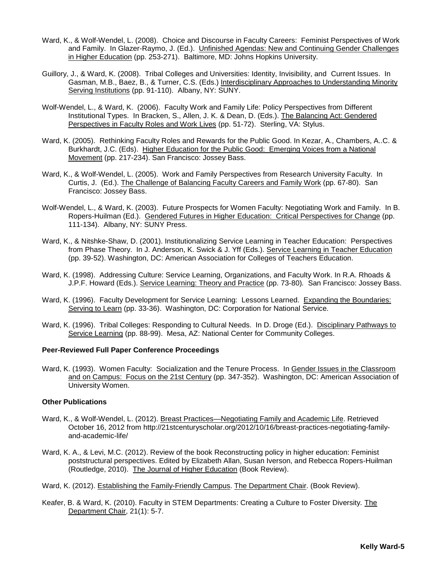- Ward, K., & Wolf-Wendel, L. (2008). Choice and Discourse in Faculty Careers: Feminist Perspectives of Work and Family. In Glazer-Raymo, J. (Ed.). Unfinished Agendas: New and Continuing Gender Challenges in Higher Education (pp. 253-271). Baltimore, MD: Johns Hopkins University.
- Guillory, J., & Ward, K. (2008). Tribal Colleges and Universities: Identity, Invisibility, and Current Issues. In Gasman, M.B., Baez, B., & Turner, C.S. (Eds.) Interdisciplinary Approaches to Understanding Minority Serving Institutions (pp. 91-110). Albany, NY: SUNY.
- Wolf-Wendel, L., & Ward, K. (2006). Faculty Work and Family Life: Policy Perspectives from Different Institutional Types. In Bracken, S., Allen, J. K. & Dean, D. (Eds.). The Balancing Act: Gendered Perspectives in Faculty Roles and Work Lives (pp. 51-72). Sterling, VA: Stylus.
- Ward, K. (2005). Rethinking Faculty Roles and Rewards for the Public Good. In Kezar, A., Chambers, A..C. & Burkhardt, J.C. (Eds). Higher Education for the Public Good: Emerging Voices from a National Movement (pp. 217-234). San Francisco: Jossey Bass.
- Ward, K., & Wolf-Wendel, L. (2005). Work and Family Perspectives from Research University Faculty. In Curtis, J. (Ed.). The Challenge of Balancing Faculty Careers and Family Work (pp. 67-80).San Francisco: Jossey Bass.
- Wolf-Wendel, L., & Ward, K. (2003). Future Prospects for Women Faculty: Negotiating Work and Family. In B. Ropers-Huilman (Ed.). Gendered Futures in Higher Education: Critical Perspectives for Change (pp. 111-134). Albany, NY: SUNY Press.
- Ward, K., & Nitshke-Shaw, D. (2001). Institutionalizing Service Learning in Teacher Education: Perspectives from Phase Theory. In J. Anderson, K. Swick & J. Yff (Eds.). Service Learning in Teacher Education (pp. 39-52). Washington, DC: American Association for Colleges of Teachers Education.
- Ward, K. (1998). Addressing Culture: Service Learning, Organizations, and Faculty Work. In R.A. Rhoads & J.P.F. Howard (Eds.). Service Learning: Theory and Practice (pp. 73-80)*.* San Francisco: Jossey Bass.
- Ward, K. (1996). Faculty Development for Service Learning: Lessons Learned. Expanding the Boundaries: Serving to Learn (pp. 33-36). Washington, DC: Corporation for National Service.
- Ward, K. (1996). Tribal Colleges: Responding to Cultural Needs. In D. Droge (Ed.). Disciplinary Pathways to Service Learning (pp. 88-99). Mesa, AZ: National Center for Community Colleges.

# **Peer-Reviewed Full Paper Conference Proceedings**

Ward, K. (1993). Women Faculty: Socialization and the Tenure Process. In Gender Issues in the Classroom and on Campus: Focus on the 21st Century (pp. 347-352). Washington, DC: American Association of University Women.

# **Other Publications**

- Ward, K., & Wolf-Wendel, L. (2012). Breast Practices—Negotiating Family and Academic Life. Retrieved October 16, 2012 from http://21stcenturyscholar.org/2012/10/16/breast-practices-negotiating-familyand-academic-life/
- Ward, K. A., & Levi, M.C. (2012). Review of the book Reconstructing policy in higher education: Feminist poststructural perspectives. Edited by Elizabeth Allan, Susan Iverson, and Rebecca Ropers-Huilman (Routledge, 2010). The Journal of Higher Education (Book Review).
- Ward, K. (2012). Establishing the Family-Friendly Campus. The Department Chair. (Book Review).
- Keafer, B. & Ward, K. (2010). Faculty in STEM Departments: Creating a Culture to Foster Diversity*.* The Department Chair, 21(1): 5-7.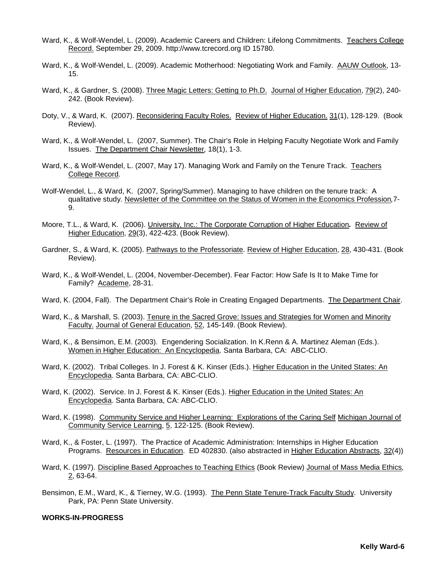- Ward, K., & Wolf-Wendel, L. (2009). Academic Careers and Children: Lifelong Commitments. Teachers College Record. September 29, 2009. [http://www.tcrecord.org](http://www.tcrecord.org/) ID 15780.
- Ward, K., & Wolf-Wendel, L. (2009). Academic Motherhood: Negotiating Work and Family. AAUW Outlook, 13- 15.
- Ward, K., & Gardner, S. (2008). Three Magic Letters: Getting to Ph.D. Journal of Higher Education, 79(2), 240- 242. (Book Review).
- Doty, V., & Ward, K. (2007). Reconsidering Faculty Roles. Review of Higher Education. 31(1), 128-129. (Book Review).
- Ward, K., & Wolf-Wendel, L. (2007, Summer). The Chair's Role in Helping Faculty Negotiate Work and Family Issues. The Department Chair Newsletter*,* 18(1), 1-3.
- Ward, K., & Wolf-Wendel, L. (2007, May 17). Managing Work and Family on the Tenure Track. Teachers College Record.
- Wolf-Wendel, L., & Ward, K. (2007, Spring/Summer). Managing to have children on the tenure track: A qualitative study. Newsletter of the Committee on the Status of Women in the Economics Profession*,*7- 9.
- Moore, T.L., & Ward, K. (2006). University, Inc.: The Corporate Corruption of Higher Education*.* Review of Higher Education, 29(3), 422-423. (Book Review).
- Gardner, S., & Ward, K. (2005). Pathways to the Professoriate. Review of Higher Education, 28, 430-431. (Book Review).
- Ward, K., & Wolf-Wendel, L. (2004, November-December). Fear Factor: How Safe Is It to Make Time for Family? Academe, 28-31.
- Ward, K. (2004, Fall). The Department Chair's Role in Creating Engaged Departments. The Department Chair.
- Ward, K., & Marshall, S. (2003). Tenure in the Sacred Grove: Issues and Strategies for Women and Minority Faculty. Journal of General Education, 52, 145-149. (Book Review).
- Ward, K., & Bensimon, E.M. (2003). Engendering Socialization. In K.Renn & A. Martinez Aleman (Eds.). Women in Higher Education: An Encyclopedia. Santa Barbara, CA: ABC-CLIO.
- Ward, K. (2002). Tribal Colleges. In J. Forest & K. Kinser (Eds.). Higher Education in the United States: An Encyclopedia. Santa Barbara, CA: ABC-CLIO.
- Ward, K. (2002). Service. In J. Forest & K. Kinser (Eds.). Higher Education in the United States: An Encyclopedia. Santa Barbara, CA: ABC-CLIO.
- Ward, K. (1998). Community Service and Higher Learning: Explorations of the Caring Self Michigan Journal of Community Service Learning, 5, 122-125. (Book Review).
- Ward, K., & Foster, L. (1997). The Practice of Academic Administration: Internships in Higher Education Programs. Resources in Education. ED 402830. (also abstracted in Higher Education Abstracts, 32(4))
- Ward, K. (1997). Discipline Based Approaches to Teaching Ethics (Book Review) Journal of Mass Media Ethics*,*   $2,63-64.$
- Bensimon, E.M., Ward, K., & Tierney, W.G. (1993). The Penn State Tenure-Track Faculty Study. University Park, PA: Penn State University.

# **WORKS-IN-PROGRESS**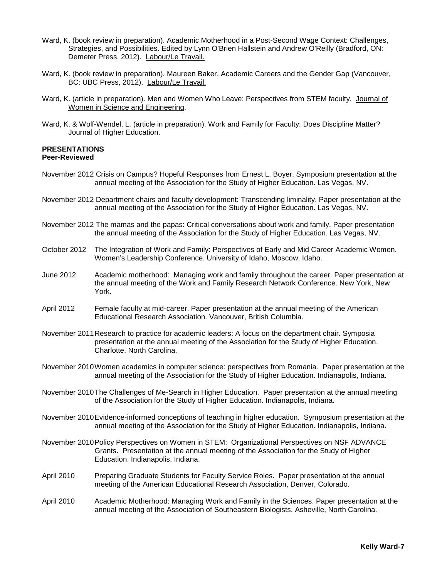- Ward, K. (book review in preparation). Academic Motherhood in a Post-Second Wage Context: Challenges, Strategies, and Possibilities. Edited by Lynn O'Brien Hallstein and Andrew O'Reilly (Bradford, ON: Demeter Press, 2012). Labour/Le Travail.
- Ward, K. (book review in preparation). Maureen Baker, Academic Careers and the Gender Gap (Vancouver, BC: UBC Press, 2012). Labour/Le Travail.
- Ward, K. (article in preparation). Men and Women Who Leave: Perspectives from STEM faculty. Journal of Women in Science and Engineering.
- Ward, K. & Wolf-Wendel, L. (article in preparation). Work and Family for Faculty: Does Discipline Matter? Journal of Higher Education.

## **PRESENTATIONS Peer-Reviewed**

- November 2012 Crisis on Campus? Hopeful Responses from Ernest L. Boyer. Symposium presentation at the annual meeting of the Association for the Study of Higher Education. Las Vegas, NV.
- November 2012 Department chairs and faculty development: Transcending liminality. Paper presentation at the annual meeting of the Association for the Study of Higher Education. Las Vegas, NV.
- November 2012 The mamas and the papas: Critical conversations about work and family. Paper presentation the annual meeting of the Association for the Study of Higher Education. Las Vegas, NV.
- October 2012 The Integration of Work and Family: Perspectives of Early and Mid Career Academic Women. Women's Leadership Conference. University of Idaho, Moscow, Idaho.
- June 2012 Academic motherhood: Managing work and family throughout the career. Paper presentation at the annual meeting of the Work and Family Research Network Conference. New York, New York.
- April 2012 Female faculty at mid-career. Paper presentation at the annual meeting of the American Educational Research Association. Vancouver, British Columbia.
- November 2011Research to practice for academic leaders: A focus on the department chair. Symposia presentation at the annual meeting of the Association for the Study of Higher Education. Charlotte, North Carolina.
- November 2010Women academics in computer science: perspectives from Romania. Paper presentation at the annual meeting of the Association for the Study of Higher Education. Indianapolis, Indiana.
- November 2010The Challenges of Me-Search in Higher Education. Paper presentation at the annual meeting of the Association for the Study of Higher Education. Indianapolis, Indiana.
- November 2010Evidence-informed conceptions of teaching in higher education. Symposium presentation at the annual meeting of the Association for the Study of Higher Education. Indianapolis, Indiana.
- November 2010Policy Perspectives on Women in STEM: Organizational Perspectives on NSF ADVANCE Grants. Presentation at the annual meeting of the Association for the Study of Higher Education. Indianapolis, Indiana.
- April 2010 Preparing Graduate Students for Faculty Service Roles. Paper presentation at the annual meeting of the American Educational Research Association, Denver, Colorado.
- April 2010 Academic Motherhood: Managing Work and Family in the Sciences. Paper presentation at the annual meeting of the Association of Southeastern Biologists. Asheville, North Carolina.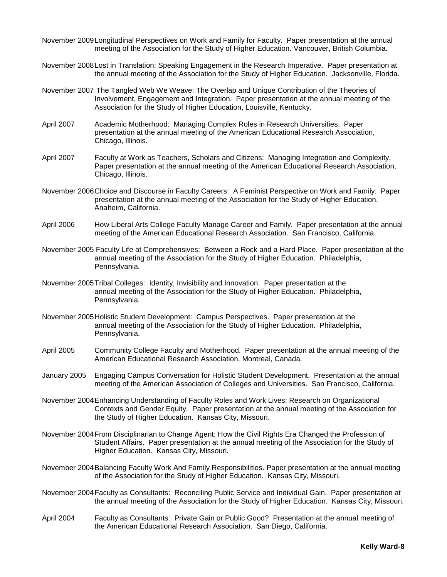- November 2009Longitudinal Perspectives on Work and Family for Faculty. Paper presentation at the annual meeting of the Association for the Study of Higher Education. Vancouver, British Columbia.
- November 2008Lost in Translation: Speaking Engagement in the Research Imperative. Paper presentation at the annual meeting of the Association for the Study of Higher Education. Jacksonville, Florida.
- November 2007 The Tangled Web We Weave: The Overlap and Unique Contribution of the Theories of Involvement, Engagement and Integration. Paper presentation at the annual meeting of the Association for the Study of Higher Education, Louisville, Kentucky.
- April 2007 Academic Motherhood: Managing Complex Roles in Research Universities. Paper presentation at the annual meeting of the American Educational Research Association, Chicago, Illinois.
- April 2007 Faculty at Work as Teachers, Scholars and Citizens: Managing Integration and Complexity. Paper presentation at the annual meeting of the American Educational Research Association, Chicago, Illinois.
- November 2006Choice and Discourse in Faculty Careers: A Feminist Perspective on Work and Family. Paper presentation at the annual meeting of the Association for the Study of Higher Education. Anaheim, California.
- April 2006 How Liberal Arts College Faculty Manage Career and Family. Paper presentation at the annual meeting of the American Educational Research Association. San Francisco, California.
- November 2005 Faculty Life at Comprehensives: Between a Rock and a Hard Place. Paper presentation at the annual meeting of the Association for the Study of Higher Education. Philadelphia, Pennsylvania.
- November 2005Tribal Colleges: Identity, Invisibility and Innovation. Paper presentation at the annual meeting of the Association for the Study of Higher Education. Philadelphia, Pennsylvania.
- November 2005Holistic Student Development: Campus Perspectives. Paper presentation at the annual meeting of the Association for the Study of Higher Education. Philadelphia, Pennsylvania.
- April 2005 Community College Faculty and Motherhood. Paper presentation at the annual meeting of the American Educational Research Association. Montreal, Canada.
- January 2005 Engaging Campus Conversation for Holistic Student Development. Presentation at the annual meeting of the American Association of Colleges and Universities. San Francisco, California.
- November 2004Enhancing Understanding of Faculty Roles and Work Lives: Research on Organizational Contexts and Gender Equity. Paper presentation at the annual meeting of the Association for the Study of Higher Education. Kansas City, Missouri.
- November 2004From Disciplinarian to Change Agent: How the Civil Rights Era Changed the Profession of Student Affairs. Paper presentation at the annual meeting of the Association for the Study of Higher Education. Kansas City, Missouri.
- November 2004Balancing Faculty Work And Family Responsibilities. Paper presentation at the annual meeting of the Association for the Study of Higher Education. Kansas City, Missouri.
- November 2004Faculty as Consultants: Reconciling Public Service and Individual Gain. Paper presentation at the annual meeting of the Association for the Study of Higher Education. Kansas City, Missouri.
- April 2004 Faculty as Consultants: Private Gain or Public Good? Presentation at the annual meeting of the American Educational Research Association. San Diego, California.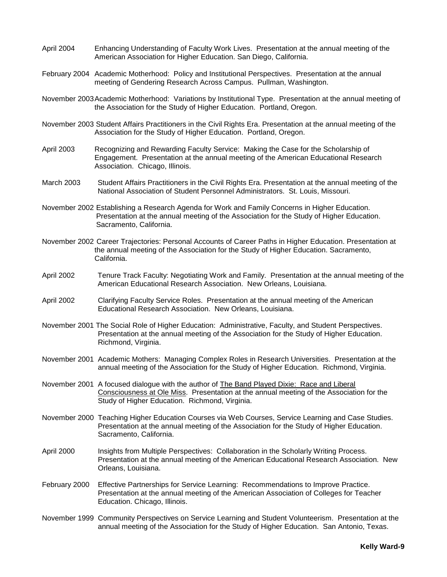- April 2004 Enhancing Understanding of Faculty Work Lives. Presentation at the annual meeting of the American Association for Higher Education. San Diego, California.
- February 2004 Academic Motherhood: Policy and Institutional Perspectives. Presentation at the annual meeting of Gendering Research Across Campus. Pullman, Washington.
- November 2003Academic Motherhood: Variations by Institutional Type. Presentation at the annual meeting of the Association for the Study of Higher Education. Portland, Oregon.
- November 2003 Student Affairs Practitioners in the Civil Rights Era. Presentation at the annual meeting of the Association for the Study of Higher Education. Portland, Oregon.
- April 2003 Recognizing and Rewarding Faculty Service: Making the Case for the Scholarship of Engagement. Presentation at the annual meeting of the American Educational Research Association. Chicago, Illinois.
- March 2003 Student Affairs Practitioners in the Civil Rights Era. Presentation at the annual meeting of the National Association of Student Personnel Administrators. St. Louis, Missouri.
- November 2002 Establishing a Research Agenda for Work and Family Concerns in Higher Education. Presentation at the annual meeting of the Association for the Study of Higher Education. Sacramento, California.
- November 2002 Career Trajectories: Personal Accounts of Career Paths in Higher Education. Presentation at the annual meeting of the Association for the Study of Higher Education. Sacramento, California.
- April 2002 Tenure Track Faculty: Negotiating Work and Family. Presentation at the annual meeting of the American Educational Research Association. New Orleans, Louisiana.
- April 2002 Clarifying Faculty Service Roles. Presentation at the annual meeting of the American Educational Research Association. New Orleans, Louisiana.
- November 2001 The Social Role of Higher Education: Administrative, Faculty, and Student Perspectives. Presentation at the annual meeting of the Association for the Study of Higher Education. Richmond, Virginia.
- November 2001 Academic Mothers: Managing Complex Roles in Research Universities. Presentation at the annual meeting of the Association for the Study of Higher Education. Richmond, Virginia.
- November 2001 A focused dialogue with the author of The Band Played Dixie: Race and Liberal Consciousness at Ole Miss. Presentation at the annual meeting of the Association for the Study of Higher Education. Richmond, Virginia.
- November 2000 Teaching Higher Education Courses via Web Courses, Service Learning and Case Studies. Presentation at the annual meeting of the Association for the Study of Higher Education. Sacramento, California.
- April 2000 Insights from Multiple Perspectives: Collaboration in the Scholarly Writing Process. Presentation at the annual meeting of the American Educational Research Association. New Orleans, Louisiana.
- February 2000 Effective Partnerships for Service Learning: Recommendations to Improve Practice. Presentation at the annual meeting of the American Association of Colleges for Teacher Education. Chicago, Illinois.
- November 1999 Community Perspectives on Service Learning and Student Volunteerism. Presentation at the annual meeting of the Association for the Study of Higher Education. San Antonio, Texas.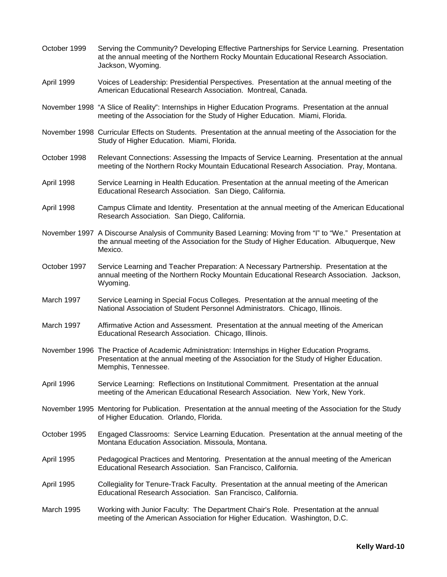October 1999 Serving the Community? Developing Effective Partnerships for Service Learning. Presentation at the annual meeting of the Northern Rocky Mountain Educational Research Association. Jackson, Wyoming. April 1999 Voices of Leadership: Presidential Perspectives. Presentation at the annual meeting of the American Educational Research Association. Montreal, Canada. November 1998 "A Slice of Reality": Internships in Higher Education Programs. Presentation at the annual meeting of the Association for the Study of Higher Education. Miami, Florida. November 1998 Curricular Effects on Students. Presentation at the annual meeting of the Association for the Study of Higher Education. Miami, Florida. October 1998 Relevant Connections: Assessing the Impacts of Service Learning. Presentation at the annual meeting of the Northern Rocky Mountain Educational Research Association. Pray, Montana. April 1998 Service Learning in Health Education. Presentation at the annual meeting of the American Educational Research Association. San Diego, California. April 1998 Campus Climate and Identity. Presentation at the annual meeting of the American Educational Research Association. San Diego, California. November 1997 A Discourse Analysis of Community Based Learning: Moving from "I" to "We." Presentation at the annual meeting of the Association for the Study of Higher Education. Albuquerque, New Mexico. October 1997 Service Learning and Teacher Preparation: A Necessary Partnership. Presentation at the annual meeting of the Northern Rocky Mountain Educational Research Association. Jackson, Wyoming. March 1997 Service Learning in Special Focus Colleges. Presentation at the annual meeting of the National Association of Student Personnel Administrators. Chicago, Illinois. March 1997 Affirmative Action and Assessment. Presentation at the annual meeting of the American Educational Research Association. Chicago, Illinois. November 1996 The Practice of Academic Administration: Internships in Higher Education Programs. Presentation at the annual meeting of the Association for the Study of Higher Education. Memphis, Tennessee. April 1996 Service Learning: Reflections on Institutional Commitment. Presentation at the annual meeting of the American Educational Research Association. New York, New York. November 1995 Mentoring for Publication. Presentation at the annual meeting of the Association for the Study of Higher Education. Orlando, Florida. October 1995 Engaged Classrooms: Service Learning Education. Presentation at the annual meeting of the Montana Education Association. Missoula, Montana. April 1995 Pedagogical Practices and Mentoring. Presentation at the annual meeting of the American Educational Research Association. San Francisco, California. April 1995 Collegiality for Tenure-Track Faculty. Presentation at the annual meeting of the American Educational Research Association. San Francisco, California. March 1995 Working with Junior Faculty: The Department Chair's Role. Presentation at the annual meeting of the American Association for Higher Education. Washington, D.C.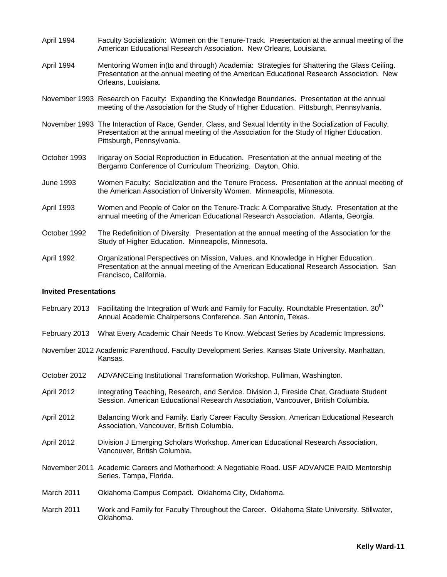- April 1994 Faculty Socialization: Women on the Tenure-Track. Presentation at the annual meeting of the American Educational Research Association. New Orleans, Louisiana.
- April 1994 Mentoring Women in(to and through) Academia: Strategies for Shattering the Glass Ceiling. Presentation at the annual meeting of the American Educational Research Association. New Orleans, Louisiana.
- November 1993 Research on Faculty: Expanding the Knowledge Boundaries. Presentation at the annual meeting of the Association for the Study of Higher Education. Pittsburgh, Pennsylvania.
- November 1993 The Interaction of Race, Gender, Class, and Sexual Identity in the Socialization of Faculty. Presentation at the annual meeting of the Association for the Study of Higher Education. Pittsburgh, Pennsylvania.
- October 1993 Irigaray on Social Reproduction in Education. Presentation at the annual meeting of the Bergamo Conference of Curriculum Theorizing. Dayton, Ohio.
- June 1993 Women Faculty: Socialization and the Tenure Process. Presentation at the annual meeting of the American Association of University Women. Minneapolis, Minnesota.
- April 1993 Women and People of Color on the Tenure-Track: A Comparative Study. Presentation at the annual meeting of the American Educational Research Association. Atlanta, Georgia.
- October 1992 The Redefinition of Diversity. Presentation at the annual meeting of the Association for the Study of Higher Education. Minneapolis, Minnesota.
- April 1992 Organizational Perspectives on Mission, Values, and Knowledge in Higher Education. Presentation at the annual meeting of the American Educational Research Association. San Francisco, California.

### **Invited Presentations**

- February 2013 Facilitating the Integration of Work and Family for Faculty. Roundtable Presentation. 30<sup>th</sup> Annual Academic Chairpersons Conference. San Antonio, Texas.
- February 2013 What Every Academic Chair Needs To Know. Webcast Series by Academic Impressions.
- November 2012 Academic Parenthood. Faculty Development Series. Kansas State University. Manhattan, Kansas.
- October 2012 ADVANCEing Institutional Transformation Workshop. Pullman, Washington.
- April 2012 Integrating Teaching, Research, and Service. Division J, Fireside Chat, Graduate Student Session. American Educational Research Association, Vancouver, British Columbia.
- April 2012 Balancing Work and Family. Early Career Faculty Session, American Educational Research Association, Vancouver, British Columbia.
- April 2012 Division J Emerging Scholars Workshop. American Educational Research Association, Vancouver, British Columbia.
- November 2011 Academic Careers and Motherhood: A Negotiable Road. USF ADVANCE PAID Mentorship Series. Tampa, Florida.
- March 2011 Oklahoma Campus Compact. Oklahoma City, Oklahoma.
- March 2011 Work and Family for Faculty Throughout the Career. Oklahoma State University. Stillwater, Oklahoma.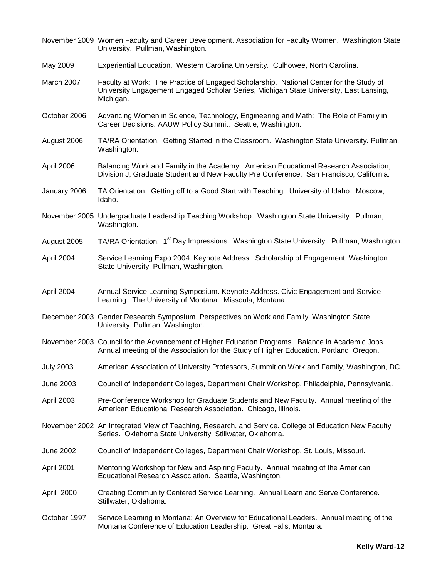|                  | November 2009 Women Faculty and Career Development. Association for Faculty Women. Washington State<br>University. Pullman, Washington.                                                       |
|------------------|-----------------------------------------------------------------------------------------------------------------------------------------------------------------------------------------------|
| May 2009         | Experiential Education. Western Carolina University. Culhowee, North Carolina.                                                                                                                |
| March 2007       | Faculty at Work: The Practice of Engaged Scholarship. National Center for the Study of<br>University Engagement Engaged Scholar Series, Michigan State University, East Lansing,<br>Michigan. |
| October 2006     | Advancing Women in Science, Technology, Engineering and Math: The Role of Family in<br>Career Decisions. AAUW Policy Summit. Seattle, Washington.                                             |
| August 2006      | TA/RA Orientation. Getting Started in the Classroom. Washington State University. Pullman,<br>Washington.                                                                                     |
| April 2006       | Balancing Work and Family in the Academy. American Educational Research Association,<br>Division J, Graduate Student and New Faculty Pre Conference. San Francisco, California.               |
| January 2006     | TA Orientation. Getting off to a Good Start with Teaching. University of Idaho. Moscow,<br>Idaho.                                                                                             |
|                  | November 2005 Undergraduate Leadership Teaching Workshop. Washington State University. Pullman,<br>Washington.                                                                                |
| August 2005      | TA/RA Orientation. 1 <sup>st</sup> Day Impressions. Washington State University. Pullman, Washington.                                                                                         |
| April 2004       | Service Learning Expo 2004. Keynote Address. Scholarship of Engagement. Washington<br>State University. Pullman, Washington.                                                                  |
| April 2004       | Annual Service Learning Symposium. Keynote Address. Civic Engagement and Service<br>Learning. The University of Montana. Missoula, Montana.                                                   |
|                  | December 2003 Gender Research Symposium. Perspectives on Work and Family. Washington State<br>University. Pullman, Washington.                                                                |
|                  | November 2003 Council for the Advancement of Higher Education Programs. Balance in Academic Jobs.<br>Annual meeting of the Association for the Study of Higher Education. Portland, Oregon.   |
| <b>July 2003</b> | American Association of University Professors, Summit on Work and Family, Washington, DC.                                                                                                     |
| June 2003        | Council of Independent Colleges, Department Chair Workshop, Philadelphia, Pennsylvania.                                                                                                       |
| April 2003       | Pre-Conference Workshop for Graduate Students and New Faculty. Annual meeting of the<br>American Educational Research Association. Chicago, Illinois.                                         |
|                  | November 2002 An Integrated View of Teaching, Research, and Service. College of Education New Faculty<br>Series. Oklahoma State University. Stillwater, Oklahoma.                             |
| <b>June 2002</b> | Council of Independent Colleges, Department Chair Workshop. St. Louis, Missouri.                                                                                                              |
| April 2001       | Mentoring Workshop for New and Aspiring Faculty. Annual meeting of the American<br>Educational Research Association. Seattle, Washington.                                                     |
| April 2000       | Creating Community Centered Service Learning. Annual Learn and Serve Conference.<br>Stillwater, Oklahoma.                                                                                     |
| October 1997     | Service Learning in Montana: An Overview for Educational Leaders. Annual meeting of the<br>Montana Conference of Education Leadership. Great Falls, Montana.                                  |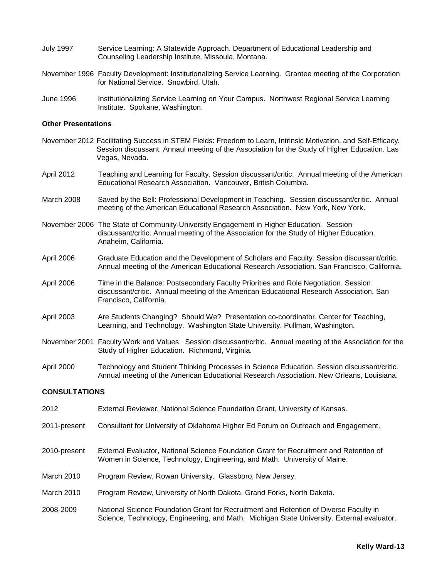- July 1997 Service Learning: A Statewide Approach. Department of Educational Leadership and Counseling Leadership Institute, Missoula, Montana.
- November 1996 Faculty Development: Institutionalizing Service Learning. Grantee meeting of the Corporation for National Service. Snowbird, Utah.
- June 1996 Institutionalizing Service Learning on Your Campus. Northwest Regional Service Learning Institute. Spokane, Washington.

#### **Other Presentations**

- November 2012 Facilitating Success in STEM Fields: Freedom to Learn, Intrinsic Motivation, and Self-Efficacy. Session discussant. Annaul meeting of the Association for the Study of Higher Education. Las Vegas, Nevada.
- April 2012 Teaching and Learning for Faculty. Session discussant/critic. Annual meeting of the American Educational Research Association. Vancouver, British Columbia.
- March 2008 Saved by the Bell: Professional Development in Teaching. Session discussant/critic. Annual meeting of the American Educational Research Association. New York, New York.
- November 2006 The State of Community-University Engagement in Higher Education. Session discussant/critic. Annual meeting of the Association for the Study of Higher Education. Anaheim, California.
- April 2006 Graduate Education and the Development of Scholars and Faculty. Session discussant/critic. Annual meeting of the American Educational Research Association. San Francisco, California.
- April 2006 Time in the Balance: Postsecondary Faculty Priorities and Role Negotiation. Session discussant/critic. Annual meeting of the American Educational Research Association. San Francisco, California.
- April 2003 Are Students Changing? Should We? Presentation co-coordinator. Center for Teaching, Learning, and Technology. Washington State University. Pullman, Washington.
- November 2001 Faculty Work and Values. Session discussant/critic. Annual meeting of the Association for the Study of Higher Education. Richmond, Virginia.
- April 2000 Technology and Student Thinking Processes in Science Education. Session discussant/critic. Annual meeting of the American Educational Research Association. New Orleans, Louisiana.

#### **CONSULTATIONS**

2012 External Reviewer, National Science Foundation Grant, University of Kansas. 2011-present Consultant for University of Oklahoma Higher Ed Forum on Outreach and Engagement. 2010-present External Evaluator, National Science Foundation Grant for Recruitment and Retention of Women in Science, Technology, Engineering, and Math. University of Maine. March 2010 Program Review, Rowan University. Glassboro, New Jersey. March 2010 Program Review, University of North Dakota. Grand Forks, North Dakota. 2008-2009 National Science Foundation Grant for Recruitment and Retention of Diverse Faculty in Science, Technology, Engineering, and Math. Michigan State University. External evaluator.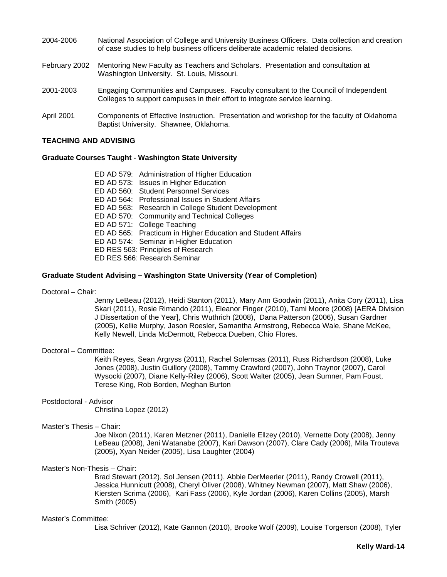- 2004-2006 National Association of College and University Business Officers. Data collection and creation of case studies to help business officers deliberate academic related decisions.
- February 2002 Mentoring New Faculty as Teachers and Scholars. Presentation and consultation at Washington University. St. Louis, Missouri.
- 2001-2003 Engaging Communities and Campuses. Faculty consultant to the Council of Independent Colleges to support campuses in their effort to integrate service learning.
- April 2001 Components of Effective Instruction. Presentation and workshop for the faculty of Oklahoma Baptist University. Shawnee, Oklahoma.

#### **TEACHING AND ADVISING**

#### **Graduate Courses Taught - Washington State University**

| ED AD 579: Administration of Higher Education                |
|--------------------------------------------------------------|
| ED AD 573: Issues in Higher Education                        |
| ED AD 560: Student Personnel Services                        |
| ED AD 564: Professional Issues in Student Affairs            |
| ED AD 563: Research in College Student Development           |
| ED AD 570: Community and Technical Colleges                  |
| ED AD 571: College Teaching                                  |
| ED AD 565: Practicum in Higher Education and Student Affairs |
| ED AD 574: Seminar in Higher Education                       |
| ED RES 563: Principles of Research                           |
| ED RES 566: Research Seminar                                 |
|                                                              |

#### **Graduate Student Advising – Washington State University (Year of Completion)**

Doctoral – Chair:

Jenny LeBeau (2012), Heidi Stanton (2011), Mary Ann Goodwin (2011), Anita Cory (2011), Lisa Skari (2011), Rosie Rimando (2011), Eleanor Finger (2010), Tami Moore (2008) [AERA Division J Dissertation of the Year], Chris Wuthrich (2008), Dana Patterson (2006), Susan Gardner (2005), Kellie Murphy, Jason Roesler, Samantha Armstrong, Rebecca Wale, Shane McKee, Kelly Newell, Linda McDermott, Rebecca Dueben, Chio Flores.

#### Doctoral – Committee:

Keith Reyes, Sean Argryss (2011), Rachel Solemsas (2011), Russ Richardson (2008), Luke Jones (2008), Justin Guillory (2008), Tammy Crawford (2007), John Traynor (2007), Carol Wysocki (2007), Diane Kelly-Riley (2006), Scott Walter (2005), Jean Sumner, Pam Foust, Terese King, Rob Borden, Meghan Burton

# Postdoctoral - Advisor

Christina Lopez (2012)

#### Master's Thesis – Chair:

Joe Nixon (2011), Karen Metzner (2011), Danielle Ellzey (2010), Vernette Doty (2008), Jenny LeBeau (2008), Jeni Watanabe (2007), Kari Dawson (2007), Clare Cady (2006), Mila Trouteva (2005), Xyan Neider (2005), Lisa Laughter (2004)

#### Master's Non-Thesis – Chair:

Brad Stewart (2012), Sol Jensen (2011), Abbie DerMeerler (2011), Randy Crowell (2011), Jessica Hunnicutt (2008), Cheryl Oliver (2008), Whitney Newman (2007), Matt Shaw (2006), Kiersten Scrima (2006), Kari Fass (2006), Kyle Jordan (2006), Karen Collins (2005), Marsh Smith (2005)

#### Master's Committee:

Lisa Schriver (2012), Kate Gannon (2010), Brooke Wolf (2009), Louise Torgerson (2008), Tyler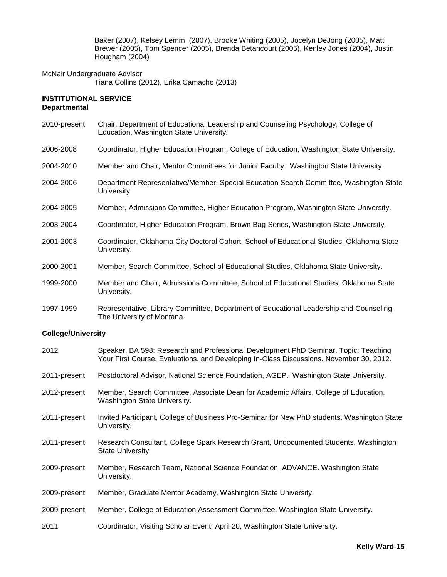Baker (2007), Kelsey Lemm (2007), Brooke Whiting (2005), Jocelyn DeJong (2005), Matt Brewer (2005), Tom Spencer (2005), Brenda Betancourt (2005), Kenley Jones (2004), Justin Hougham (2004)

McNair Undergraduate Advisor Tiana Collins (2012), Erika Camacho (2013)

## **INSTITUTIONAL SERVICE Departmental**

- 2010-present Chair, Department of Educational Leadership and Counseling Psychology, College of Education, Washington State University.
- 2006-2008 Coordinator, Higher Education Program, College of Education, Washington State University.
- 2004-2010 Member and Chair, Mentor Committees for Junior Faculty. Washington State University.
- 2004-2006 Department Representative/Member, Special Education Search Committee, Washington State University.
- 2004-2005 Member, Admissions Committee, Higher Education Program, Washington State University.
- 2003-2004 Coordinator, Higher Education Program, Brown Bag Series, Washington State University.
- 2001-2003 Coordinator, Oklahoma City Doctoral Cohort, School of Educational Studies, Oklahoma State University.
- 2000-2001 Member, Search Committee, School of Educational Studies, Oklahoma State University.
- 1999-2000 Member and Chair, Admissions Committee, School of Educational Studies, Oklahoma State University.
- 1997-1999 Representative, Library Committee, Department of Educational Leadership and Counseling, The University of Montana.

# **College/University**

| 2012         | Speaker, BA 598: Research and Professional Development PhD Seminar. Topic: Teaching<br>Your First Course, Evaluations, and Developing In-Class Discussions. November 30, 2012. |
|--------------|--------------------------------------------------------------------------------------------------------------------------------------------------------------------------------|
| 2011-present | Postdoctoral Advisor, National Science Foundation, AGEP. Washington State University.                                                                                          |
| 2012-present | Member, Search Committee, Associate Dean for Academic Affairs, College of Education,<br>Washington State University.                                                           |
| 2011-present | Invited Participant, College of Business Pro-Seminar for New PhD students, Washington State<br>University.                                                                     |
| 2011-present | Research Consultant, College Spark Research Grant, Undocumented Students. Washington<br>State University.                                                                      |
| 2009-present | Member, Research Team, National Science Foundation, ADVANCE. Washington State<br>University.                                                                                   |
| 2009-present | Member, Graduate Mentor Academy, Washington State University.                                                                                                                  |
| 2009-present | Member, College of Education Assessment Committee, Washington State University.                                                                                                |
| 2011         | Coordinator, Visiting Scholar Event, April 20, Washington State University.                                                                                                    |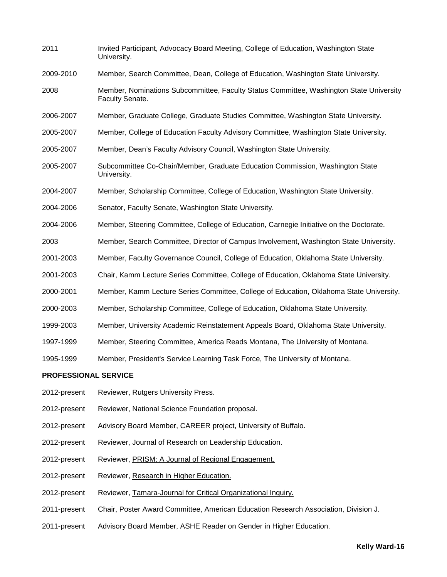| 2011                        | Invited Participant, Advocacy Board Meeting, College of Education, Washington State<br>University.         |  |
|-----------------------------|------------------------------------------------------------------------------------------------------------|--|
| 2009-2010                   | Member, Search Committee, Dean, College of Education, Washington State University.                         |  |
| 2008                        | Member, Nominations Subcommittee, Faculty Status Committee, Washington State University<br>Faculty Senate. |  |
| 2006-2007                   | Member, Graduate College, Graduate Studies Committee, Washington State University.                         |  |
| 2005-2007                   | Member, College of Education Faculty Advisory Committee, Washington State University.                      |  |
| 2005-2007                   | Member, Dean's Faculty Advisory Council, Washington State University.                                      |  |
| 2005-2007                   | Subcommittee Co-Chair/Member, Graduate Education Commission, Washington State<br>University.               |  |
| 2004-2007                   | Member, Scholarship Committee, College of Education, Washington State University.                          |  |
| 2004-2006                   | Senator, Faculty Senate, Washington State University.                                                      |  |
| 2004-2006                   | Member, Steering Committee, College of Education, Carnegie Initiative on the Doctorate.                    |  |
| 2003                        | Member, Search Committee, Director of Campus Involvement, Washington State University.                     |  |
| 2001-2003                   | Member, Faculty Governance Council, College of Education, Oklahoma State University.                       |  |
| 2001-2003                   | Chair, Kamm Lecture Series Committee, College of Education, Oklahoma State University.                     |  |
| 2000-2001                   | Member, Kamm Lecture Series Committee, College of Education, Oklahoma State University.                    |  |
| 2000-2003                   | Member, Scholarship Committee, College of Education, Oklahoma State University.                            |  |
| 1999-2003                   | Member, University Academic Reinstatement Appeals Board, Oklahoma State University.                        |  |
| 1997-1999                   | Member, Steering Committee, America Reads Montana, The University of Montana.                              |  |
| 1995-1999                   | Member, President's Service Learning Task Force, The University of Montana.                                |  |
| <b>PROFESSIONAL SERVICE</b> |                                                                                                            |  |
| 2012-present                | Reviewer, Rutgers University Press.                                                                        |  |

- 2012-present Reviewer, National Science Foundation proposal.
- 2012-present Advisory Board Member, CAREER project, University of Buffalo.
- 2012-present Reviewer, Journal of Research on Leadership Education.
- 2012-present Reviewer, PRISM: A Journal of Regional Engagement.
- 2012-present Reviewer, Research in Higher Education.
- 2012-present Reviewer, Tamara-Journal for Critical Organizational Inquiry.
- 2011-present Chair, Poster Award Committee, American Education Research Association, Division J.
- 2011-present Advisory Board Member, ASHE Reader on Gender in Higher Education.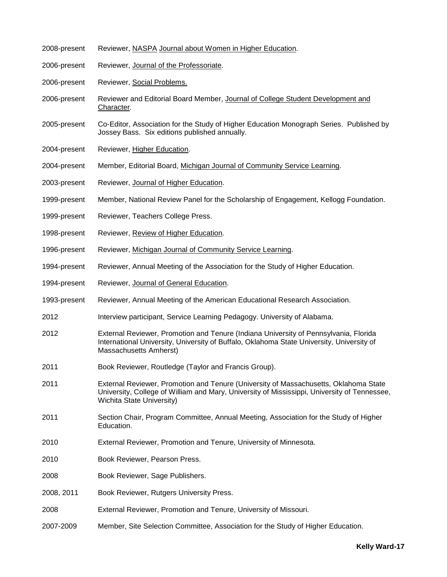| 2008-present | Reviewer, NASPA Journal about Women in Higher Education.                                                                                                                                                          |
|--------------|-------------------------------------------------------------------------------------------------------------------------------------------------------------------------------------------------------------------|
| 2006-present | Reviewer, Journal of the Professoriate.                                                                                                                                                                           |
| 2006-present | Reviewer, Social Problems.                                                                                                                                                                                        |
| 2006-present | Reviewer and Editorial Board Member, Journal of College Student Development and<br>Character.                                                                                                                     |
| 2005-present | Co-Editor, Association for the Study of Higher Education Monograph Series. Published by<br>Jossey Bass. Six editions published annually.                                                                          |
| 2004-present | Reviewer, Higher Education.                                                                                                                                                                                       |
| 2004-present | Member, Editorial Board, Michigan Journal of Community Service Learning.                                                                                                                                          |
| 2003-present | Reviewer, Journal of Higher Education.                                                                                                                                                                            |
| 1999-present | Member, National Review Panel for the Scholarship of Engagement, Kellogg Foundation.                                                                                                                              |
| 1999-present | Reviewer, Teachers College Press.                                                                                                                                                                                 |
| 1998-present | Reviewer, Review of Higher Education.                                                                                                                                                                             |
| 1996-present | Reviewer, Michigan Journal of Community Service Learning.                                                                                                                                                         |
| 1994-present | Reviewer, Annual Meeting of the Association for the Study of Higher Education.                                                                                                                                    |
| 1994-present | Reviewer, Journal of General Education.                                                                                                                                                                           |
| 1993-present | Reviewer, Annual Meeting of the American Educational Research Association.                                                                                                                                        |
| 2012         | Interview participant, Service Learning Pedagogy. University of Alabama.                                                                                                                                          |
| 2012         | External Reviewer, Promotion and Tenure (Indiana University of Pennsylvania, Florida<br>International University, University of Buffalo, Oklahoma State University, University of<br>Massachusetts Amherst)       |
| 2011         | Book Reviewer, Routledge (Taylor and Francis Group).                                                                                                                                                              |
| 2011         | External Reviewer, Promotion and Tenure (University of Massachusetts, Oklahoma State<br>University, College of William and Mary, University of Mississippi, University of Tennessee,<br>Wichita State University) |
| 2011         | Section Chair, Program Committee, Annual Meeting, Association for the Study of Higher<br>Education.                                                                                                               |
| 2010         | External Reviewer, Promotion and Tenure, University of Minnesota.                                                                                                                                                 |
| 2010         | Book Reviewer, Pearson Press.                                                                                                                                                                                     |
| 2008         | Book Reviewer, Sage Publishers.                                                                                                                                                                                   |
| 2008, 2011   | Book Reviewer, Rutgers University Press.                                                                                                                                                                          |
| 2008         | External Reviewer, Promotion and Tenure, University of Missouri.                                                                                                                                                  |
| 2007-2009    | Member, Site Selection Committee, Association for the Study of Higher Education.                                                                                                                                  |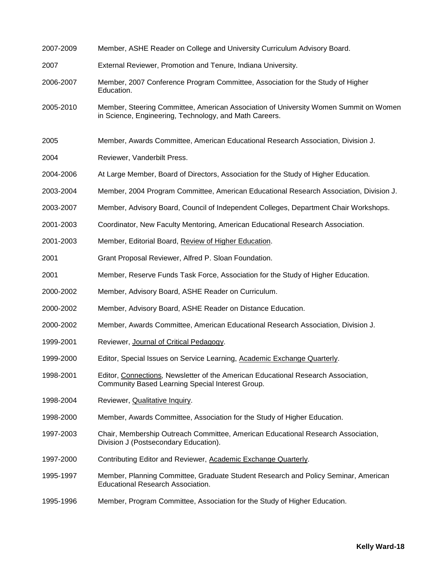| 2007-2009 | Member, ASHE Reader on College and University Curriculum Advisory Board.                                                                       |
|-----------|------------------------------------------------------------------------------------------------------------------------------------------------|
| 2007      | External Reviewer, Promotion and Tenure, Indiana University.                                                                                   |
| 2006-2007 | Member, 2007 Conference Program Committee, Association for the Study of Higher<br>Education.                                                   |
| 2005-2010 | Member, Steering Committee, American Association of University Women Summit on Women<br>in Science, Engineering, Technology, and Math Careers. |
| 2005      | Member, Awards Committee, American Educational Research Association, Division J.                                                               |
| 2004      | Reviewer, Vanderbilt Press.                                                                                                                    |
| 2004-2006 | At Large Member, Board of Directors, Association for the Study of Higher Education.                                                            |
| 2003-2004 | Member, 2004 Program Committee, American Educational Research Association, Division J.                                                         |
| 2003-2007 | Member, Advisory Board, Council of Independent Colleges, Department Chair Workshops.                                                           |
| 2001-2003 | Coordinator, New Faculty Mentoring, American Educational Research Association.                                                                 |
| 2001-2003 | Member, Editorial Board, Review of Higher Education.                                                                                           |
| 2001      | Grant Proposal Reviewer, Alfred P. Sloan Foundation.                                                                                           |
| 2001      | Member, Reserve Funds Task Force, Association for the Study of Higher Education.                                                               |
| 2000-2002 | Member, Advisory Board, ASHE Reader on Curriculum.                                                                                             |
| 2000-2002 | Member, Advisory Board, ASHE Reader on Distance Education.                                                                                     |
| 2000-2002 | Member, Awards Committee, American Educational Research Association, Division J.                                                               |
| 1999-2001 | Reviewer, Journal of Critical Pedagogy.                                                                                                        |
| 1999-2000 | Editor, Special Issues on Service Learning, Academic Exchange Quarterly.                                                                       |
| 1998-2001 | Editor, Connections, Newsletter of the American Educational Research Association,<br>Community Based Learning Special Interest Group.          |
| 1998-2004 | Reviewer, Qualitative Inquiry.                                                                                                                 |
| 1998-2000 | Member, Awards Committee, Association for the Study of Higher Education.                                                                       |
| 1997-2003 | Chair, Membership Outreach Committee, American Educational Research Association,<br>Division J (Postsecondary Education).                      |
| 1997-2000 | Contributing Editor and Reviewer, Academic Exchange Quarterly.                                                                                 |
| 1995-1997 | Member, Planning Committee, Graduate Student Research and Policy Seminar, American<br>Educational Research Association.                        |
| 1995-1996 | Member, Program Committee, Association for the Study of Higher Education.                                                                      |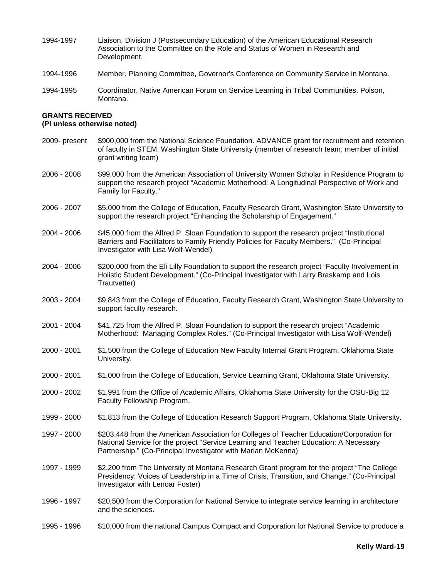- 1994-1997 Liaison, Division J (Postsecondary Education) of the American Educational Research Association to the Committee on the Role and Status of Women in Research and Development.
- 1994-1996 Member, Planning Committee, Governor's Conference on Community Service in Montana.
- 1994-1995 Coordinator, Native American Forum on Service Learning in Tribal Communities. Polson, Montana.

# **GRANTS RECEIVED**

# **(PI unless otherwise noted)**

- 2009- present \$900,000 from the National Science Foundation. ADVANCE grant for recruitment and retention of faculty in STEM. Washington State University (member of research team; member of initial grant writing team)
- 2006 2008 \$99,000 from the American Association of University Women Scholar in Residence Program to support the research project "Academic Motherhood: A Longitudinal Perspective of Work and Family for Faculty."
- 2006 2007 \$5,000 from the College of Education, Faculty Research Grant, Washington State University to support the research project "Enhancing the Scholarship of Engagement."
- 2004 2006 \$45,000 from the Alfred P. Sloan Foundation to support the research project "Institutional Barriers and Facilitators to Family Friendly Policies for Faculty Members." (Co-Principal Investigator with Lisa Wolf-Wendel)
- 2004 2006 \$200,000 from the Eli Lilly Foundation to support the research project "Faculty Involvement in Holistic Student Development." (Co-Principal Investigator with Larry Braskamp and Lois Trautvetter)
- 2003 2004 \$9,843 from the College of Education, Faculty Research Grant, Washington State University to support faculty research.
- 2001 2004 \$41,725 from the Alfred P. Sloan Foundation to support the research project "Academic Motherhood: Managing Complex Roles." (Co-Principal Investigator with Lisa Wolf-Wendel)
- 2000 2001 \$1,500 from the College of Education New Faculty Internal Grant Program, Oklahoma State University.
- 2000 2001 \$1,000 from the College of Education, Service Learning Grant, Oklahoma State University.
- 2000 2002 \$1,991 from the Office of Academic Affairs, Oklahoma State University for the OSU-Big 12 Faculty Fellowship Program.
- 1999 2000 \$1,813 from the College of Education Research Support Program, Oklahoma State University.
- 1997 2000 \$203,448 from the American Association for Colleges of Teacher Education/Corporation for National Service for the project "Service Learning and Teacher Education: A Necessary Partnership." (Co-Principal Investigator with Marian McKenna)
- 1997 1999 \$2,200 from The University of Montana Research Grant program for the project "The College Presidency: Voices of Leadership in a Time of Crisis, Transition, and Change." (Co-Principal Investigator with Lenoar Foster)
- 1996 1997 \$20,500 from the Corporation for National Service to integrate service learning in architecture and the sciences.
- 1995 1996 \$10,000 from the national Campus Compact and Corporation for National Service to produce a